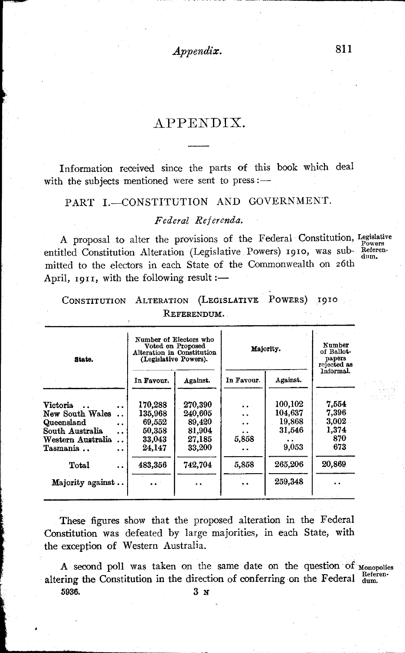*Appendix.* 811

# APPENDIX.

Information received since the parts of this book which deal with the subjects mentioned were sent to press:-

## PART I.-CONSTITUTION AND GOVERNMENT.

### *Federal Referenda.*

A proposal to alter the provisions of the Federal Constitution, Legislative Powers Powers<br>entitled Constitution Alteration (Legislative Powers) 1910, was sub- Referenmitted to the electors in each State of the Commonwealth on 26th April,  $1911$ , with the following result :-

|             |  | CONSTITUTION ALTERATION (LEGISLATIVE POWERS) 1910 |  |  |  |  |  |
|-------------|--|---------------------------------------------------|--|--|--|--|--|
| REFERENDUM. |  |                                                   |  |  |  |  |  |

| State.                                    | (Legislative Powers). | Number of Electors who<br>Voted on Proposed<br>Alteration in Constitution | Majority.  | Number<br>of Ballot-<br>papers<br>rejected as<br>Informal. |        |
|-------------------------------------------|-----------------------|---------------------------------------------------------------------------|------------|------------------------------------------------------------|--------|
|                                           | In Favour.            | Against.                                                                  | In Favour. | Against.                                                   |        |
| Victoria.                                 | 170,288               | 270,390                                                                   | $\cdot$ .  | 100,102                                                    | 7.554  |
| New South Wales<br>$\ddot{\phantom{a}}$   | 135,968               | 240.605                                                                   | . .        | 104.637                                                    | 7.396  |
| Queensland<br>. .                         | 69.552                | 89,420                                                                    | . .        | 19,868                                                     | 3,002  |
| South Australia<br>$\cdot$ $\cdot$        | 50,358                | 81,904                                                                    |            | 31,546                                                     | 1,374  |
| Western Australia<br>$\ddot{\phantom{a}}$ | 33,043                | 27.185                                                                    | 5.858      |                                                            | 870    |
| Tasmania<br>. .                           | 24,147                | 33,200                                                                    |            | 9,053                                                      | 673    |
| Total<br>. .                              | 483,356               | 742,704                                                                   | 5,858      | 265,206                                                    | 20.869 |
| Majority against                          |                       |                                                                           |            | 259.348                                                    |        |
|                                           |                       |                                                                           |            |                                                            |        |

These figures show that the proposed alteration in the Federal Constitution was defeated by large majorities, in each State, with the exception of Western Australia.

A second poll was taken on the same date on the question of Monopolies altering the Constitution in the direction of conferring on the Federal  $_{\text{dum}}^{\text{Referen}}$ . 5936. 3 N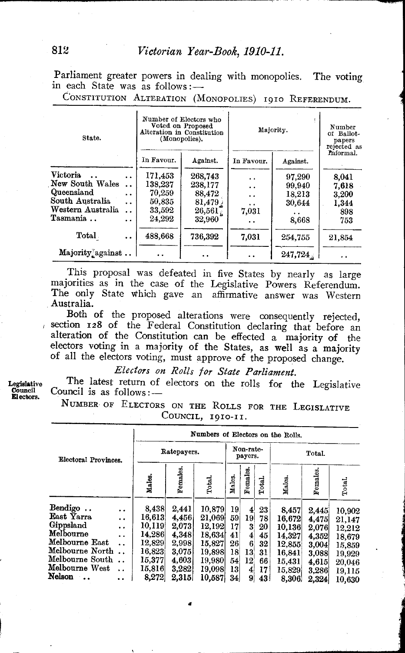Parliament greater powers in dealing with monopolies. The voting in each State was as follows:-

CONSTITUTION ALTERATION (MONOPOLIES) 1910 REFERENDUM.

| State.            |                      |            | Number of Electors who<br>Voted on Proposed<br>Alteration in Constitution<br>(Monopolies). | Majority.  | Number<br>of Ballot-<br>papers<br>rejected as |                      |
|-------------------|----------------------|------------|--------------------------------------------------------------------------------------------|------------|-----------------------------------------------|----------------------|
|                   |                      | In Favour. | Against.                                                                                   | In Favour. | Against.                                      | Informal.            |
| <b>Victoria</b>   | $\ddot{\phantom{1}}$ | 171,453    | 268,743                                                                                    | . .        | 97,290                                        | 8.041                |
| New South Wales   | . .                  | 138,237    | 238.177                                                                                    | . .        | 99,940                                        | 7.618                |
| Queensland        | . .                  | 70,259     | 88,472                                                                                     | . .        | 18,213                                        | 3,200                |
| South Australia   | . .                  | 50,835     | 81,479                                                                                     | . .        | 30.644                                        | 1,344                |
| Western Australia | . .                  | 33,592     | $26,561\degree$                                                                            | 7,031      |                                               | 898                  |
| Tasmania          | . .                  | 24.292     | 32,960                                                                                     | . .        | 8,668                                         | 753                  |
| Total             | $\ddot{\phantom{0}}$ | 488,668    | 736,392                                                                                    | 7.031      | 254.755                                       | 21,854               |
| Majority against  |                      |            | . .                                                                                        |            | 247,724                                       | $\ddot{\phantom{0}}$ |

This proposal was defeated in five States by nearly as large majorities as in the case of the Legislative Powers Referendum. The only State which gave an affirmative answer was Western Australia.

Both of the proposed alterations were consequently rejected, is section 128 of the Federal Constitution declaring that before an alteration of the Constitution can be effected a majority of the electors voting in a majority of the States, as well as a majority of all the electors voting, must approve of the proposed change.

*Electors on Rolls for State Parliament.* 

The latest return of electors on the rolls for the Legislative Council is as  $follows:$   $-$ 

NUMBER OF ELECTORS ON THE ROLLS FOR THE LEGISLATIVE COUNCIL, 1910-11.

|                                                                                                                                     |                                                                                    | Numbers of Electors on the Rolls.                                                    |                                                                               |                                                                                        |                                                     |                                                                           |                                              |                                                                             |                                                                      |                                                                              |  |  |
|-------------------------------------------------------------------------------------------------------------------------------------|------------------------------------------------------------------------------------|--------------------------------------------------------------------------------------|-------------------------------------------------------------------------------|----------------------------------------------------------------------------------------|-----------------------------------------------------|---------------------------------------------------------------------------|----------------------------------------------|-----------------------------------------------------------------------------|----------------------------------------------------------------------|------------------------------------------------------------------------------|--|--|
| Electoral Provinces.                                                                                                                |                                                                                    |                                                                                      | Ratepayers.                                                                   |                                                                                        |                                                     | Non-rate-<br>payers.                                                      |                                              |                                                                             | Total.                                                               |                                                                              |  |  |
|                                                                                                                                     |                                                                                    | Males.                                                                               | Females.                                                                      | Total.                                                                                 | Males.                                              | emales.<br>凾                                                              | Total.                                       | Males.                                                                      | Females                                                              | Total.                                                                       |  |  |
| Bendigo<br>East Yarra<br>Gippsland<br>Melbourne<br>Melbourne East<br>Melbourne North<br>Melbourne South<br>Melbourne West<br>Nelson | . .<br>$\ddot{\phantom{0}}$<br>$\ddot{\phantom{0}}$<br>. .<br>$\ddot{\phantom{a}}$ | 8,438<br>16.613<br>10.119<br>14,286<br>12,829<br>16,823<br>15,377<br>15,816<br>8,272 | 2.441<br>4,456<br>2,073<br>4.348<br>2,998<br>3.075<br>4.603<br>3,282<br>2,315 | 10,879<br>21.069<br>12,192<br>18.634<br>15,827<br>19.898<br>19,980<br>19.098<br>10,587 | 19.<br>59<br>17<br>41<br>26<br>18<br>54<br>13<br>34 | $\mathbf{4}$<br>19<br>3<br>4<br>6<br>13<br>12'<br>$\vert \Phi \vert$<br>9 | 23<br>78<br>20<br>45<br>32<br>31<br>66<br>17 | 8,457<br>16,672<br>10,136<br>14.327<br>12,855<br>16,841<br>15,431<br>15,829 | 2,445<br>4.475<br>2,076<br>4,352<br>3,004<br>3.088<br>4.615<br>3,286 | 10,902<br>21,147<br>12,212<br>18,679<br>15,859<br>19,929<br>20,046<br>19.115 |  |  |

Legislative<br>Council Council Electors.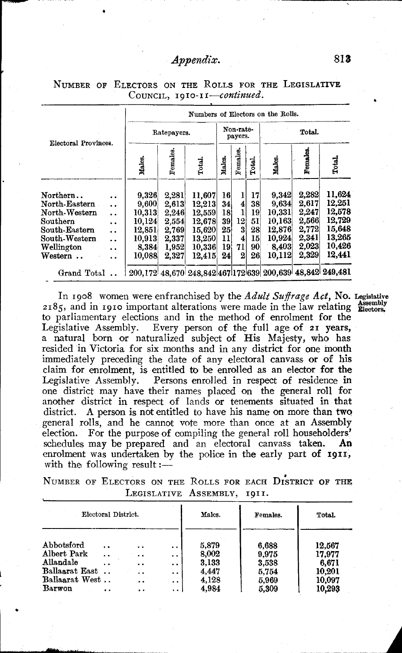## *Appendix.* 813

|                                                                                                                                                              |                                                                                                                                           | Numbers of Electors on the Rolls.                                         |                                                                      |                                                                              |                                              |                                            |                                              |                                                                           |                                                                      |                                                                              |  |
|--------------------------------------------------------------------------------------------------------------------------------------------------------------|-------------------------------------------------------------------------------------------------------------------------------------------|---------------------------------------------------------------------------|----------------------------------------------------------------------|------------------------------------------------------------------------------|----------------------------------------------|--------------------------------------------|----------------------------------------------|---------------------------------------------------------------------------|----------------------------------------------------------------------|------------------------------------------------------------------------------|--|
| Electoral Provinces.                                                                                                                                         |                                                                                                                                           | Ratepayers.                                                               | Non-rate-<br>payers.                                                 |                                                                              |                                              | Total.                                     |                                              |                                                                           |                                                                      |                                                                              |  |
|                                                                                                                                                              |                                                                                                                                           | Males.                                                                    | Females                                                              | Total.                                                                       | Males.                                       | Females.                                   | Total.                                       | Males.                                                                    | Females.                                                             | Total.                                                                       |  |
| $\text{Northern.}$ .<br>North-Eastern<br>North-Western<br>$\rm{Southern}$<br>$\operatorname{South\text{-}Eastern}$<br>South-Western<br>Wellington<br>Western | $\ddot{\phantom{0}}$<br>$\ddot{\phantom{a}}$<br>. .<br>$\ddot{\phantom{0}}$<br>. .<br>. .<br>$\ddot{\phantom{0}}$<br>$\ddot{\phantom{0}}$ | 9,326<br>9.600<br>10,313<br>10.124<br>12,851<br>10.913<br>8,384<br>10,088 | 2,281<br>2,613<br>2.246<br>2.554<br>2,769<br>2,337<br>1,952<br>2,327 | 11,607<br>12,213<br>12.559<br>12,678<br>15,620<br>13,250<br>10,336<br>12,415 | 16<br>34<br>18<br>39<br>25<br>11<br>19<br>24 | 4<br>12,<br>3<br>4<br>71<br>$\overline{2}$ | 17<br>38<br>19<br>51<br>28<br>15<br>90<br>26 | 9.342<br>9.634<br>10.331<br>10,163<br>12.876<br>10.924<br>8,403<br>10,112 | 2,282<br>2,617<br>2,247<br>2.566<br>2,772<br>2.341<br>2.023<br>2.329 | 11,624<br>12,251<br>12,578<br>12,729<br>15,648<br>13,265<br>10.426<br>12.441 |  |
| Grand Total                                                                                                                                                  |                                                                                                                                           |                                                                           |                                                                      |                                                                              |                                              |                                            |                                              |                                                                           |                                                                      | 200,172 48,670 248,842 467 172 639 200,639 48,842 249,481                    |  |

NUMBER OF ELECTORS ON THE ROLLS FOR THE LEGISLATIVE COUNCIL, *1910-II-continued.* 

In 1908 women were enfranchised by the *Adult Suffrage Act,* No. Legislative  $2185$ , and in 1910 important alterations were made in the law relating  $\frac{\text{Assembly}}{\text{Electors}}$ . to parliamentary elections and in the method of enrolment for the Legislative Assembly. Every person of the full age of 21 years, Every person of the full age of 21 years, a natural born or naturalized subject of His Majesty, who has resided in Victoria for six months and in any district for one month immediately preceding the date of any electoral canvass or of his claim for enrolment, is entitled to be enrolled as an elector for the Legislative Assembly. Persons enrolled in respect of residence in one district may have their names placed on the general roll for another district in respect of lands or tenements situated in that district. A person is not entitled to have his name on more than two general rolls, and he cannot vote more than once at an Assembly election. For the purpose of compiling the general roll householders' schedules may be prepared and an electoral canvass taken. An schedules may be prepared and an electoral canvass taken. enrolment was undertaken by the police in the early part of 1911, with the following result: $\frac{1}{1}$ 

NUMBER OF ELECTORS ON THE ROLLS FOR EACH DISTRICT OF THE LEGISLATIVE ASSEMBLY, 1911.

| Electoral District. |                      |                      |                      | Males. | Females. | Total. |
|---------------------|----------------------|----------------------|----------------------|--------|----------|--------|
| Abbotsford          | . .                  | $\ddot{\phantom{a}}$ | $\ddot{\phantom{0}}$ | 5.879  | 6.688    | 12,567 |
| Albert Park         | . .                  | . .                  | $\ddot{\phantom{0}}$ | 8.002  | 9.975    | 17.977 |
| Allandale           | $\ddot{\phantom{1}}$ | $\ddot{\phantom{0}}$ | $\ddot{\phantom{a}}$ | 3.133  | 3.538    | 6.671  |
| Ballaarat East      |                      | $\cdot$ .            | $\bullet$            | 4.447  | 5.754    | 10.201 |
| Ballaarat West      |                      | . .                  | . .                  | 4.128  | 5,969    | 10,097 |
| Barwon              | . .                  | . .                  | $\ddot{\phantom{1}}$ | 4.984  | 5,309    | 10,293 |

.. "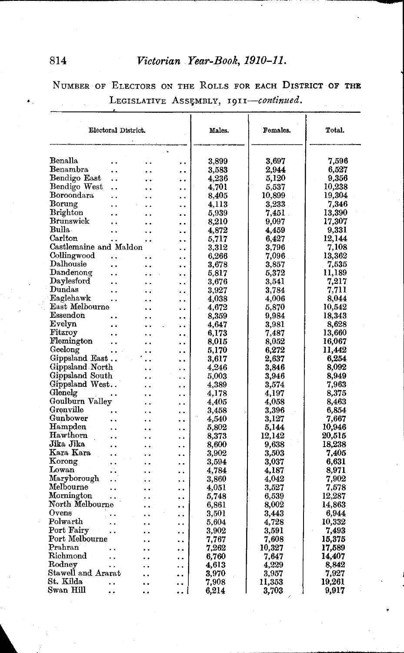# 814 *Victorian Year-Book,1910-11.*

NUMBER OF ELECTORS ON THE ROLLS FOR EACH DISTRICT OF THE LEGISLATIVE ASSEMBLY, 1911-continued.

| Electoral District.                                              | Males.         | Females.   | Total. |
|------------------------------------------------------------------|----------------|------------|--------|
| Benalla                                                          |                |            |        |
| $\ddot{\phantom{0}}$                                             | 3.899          | 3,697      | 7.596  |
| Benambra<br>$\ddot{\phantom{a}}$<br>$\ddot{\phantom{0}}$         | 3.583          | 2.944      | 6,527  |
| Bendigo East<br>$\ddot{\phantom{0}}$                             | 4,236          | 5.120      | 9,356  |
| Bendigo West<br>. .<br>. .                                       | 4,701          | 5,537      | 10,238 |
| Boroondara<br>$\ddot{\phantom{0}}$<br>٠.                         | 8,405          | 10,899     | 19,304 |
| Borung<br>$\ddot{\phantom{0}}$                                   | 4.113          | $3.233$ .  | 7,346  |
| <b>Brighton</b><br>. .<br>                                       | 5,939          | 7,451      | 13,390 |
| Brunswick<br>$\ddot{\phantom{0}}$<br>. .                         | 8,210          | 9,097      | 17,307 |
| Bulla.<br>. .                                                    | 4.872          | 4.459      | 9.331  |
| Carlton<br>$\ddot{\phantom{a}}$                                  | 5.717          | 6.427      | 12.144 |
| Castlemaine and Maldon<br>$\ddot{\phantom{0}}$                   | 3,312          | 3,796      | 7,108  |
| Collingwood<br><br>. .                                           | 6,266          | 7,096      | 13,362 |
| Dalhousie<br>٠.<br>. .                                           | 3,678          | 3,857      | 7,535  |
| Dandenong<br>. .                                                 | 5,817          | 5,372      | 11,189 |
| Daylesford<br>$\ddot{\phantom{a}}$<br>. .                        | $_{\rm 3.676}$ | 3.541      | 7,217  |
| Dundas<br>. .                                                    | $_{3,927}$     | 3.784      | 7.711  |
| Eaglehawk<br>$\ddot{\phantom{a}}$<br>. .                         | 4,038          | 4.006      | 8.044  |
| East Melbourne<br>. .                                            | 4.672          | 5.870      | 10.542 |
| Essendon<br>$\ddot{\phantom{0}}$                                 | 8.359          | 9.984      | 18,343 |
| Evelyn<br>. .<br>. .                                             | 4,647          | $_{3.981}$ | 8,628  |
| Fitzroy<br>$\ddot{\phantom{0}}$<br>$\ddot{\phantom{a}}$<br>٠.    | 6,173          | 7,487      | 13,660 |
| Flemington<br>. .                                                | 8.015          | 8.052      | 16,067 |
| Geelong<br>$\mathbf{L} = \mathbf{R}$<br>. .                      | 5.170          | 6,272      | 11,442 |
| Gippsland East<br>$\ddotsc$<br>. .                               | 3,617          | 2,637      | 6,254  |
| Gippsland North<br>$\ddot{\phantom{a}}$<br>. .                   | 4,246          | 3.846      | 8.092  |
| Gippsland South<br>$\ddot{\phantom{a}}$<br>. .                   | 5.003          | 3,946      | 8,949  |
| Gippsland West<br>$\ddot{\phantom{a}}$<br>. .                    | 4.389          | 3,574      | 7,963  |
| Glenelg<br>. .<br>. .                                            | 4,178          | 4,197      | 8,375  |
| Goulburn Valley<br>. .<br>. .                                    | 4.405          | 4,058      | 8,463  |
| Grenville<br>. .<br>٠.                                           | 3,458          | 3,396      | 6.854  |
| Gunbower<br>. .                                                  | 4,540          | 3,127      | 7.667  |
| ${\rm Hampeden}$<br>. .                                          | 5,802          | 5,144      | 10,946 |
| Hawthorn<br>$\ddot{\phantom{a}}$<br>. .                          | 8.373          | 12,142     | 20.515 |
| Jika Jika<br>$\ddot{\phantom{0}}$                                | 8,600          | 9.638      | 18,238 |
| Kara Kara<br>$\ddot{\phantom{a}}$<br>$\ddot{\phantom{a}}$        | 3.902          | 3,503      | 7,405  |
| Korong<br>$\ddot{\phantom{1}}$<br>. .                            | 3,594          | 3,037      | 6.631  |
| Lowan<br>. .                                                     | 4,784          | 4.187      | 8,971  |
| Maryborough<br>$\ddot{\phantom{0}}$                              | 3,860          | 4,042      | 7.902  |
| Melbourne<br>$\ddot{\phantom{0}}$<br>. .                         | 4.051          | 3,527      | 7,578  |
| Mornington<br>μ.                                                 | 5,748          | 6,539      | 12,287 |
| North Melbourne<br>$\ddot{\phantom{a}}$                          | 6,861          | 8,002      | 14.863 |
| Ovens<br>. .                                                     | 3,501          | 3.443      | 6.944  |
| Polwarth<br>. .<br>. .                                           | 5.604          | 4,728      | 10.332 |
| Port Fairy<br>$\ddot{\phantom{0}}$<br>$\ddot{\phantom{0}}$       | 3,902          | 3,591      | 7,493  |
| Port Melbourne<br>. .<br>                                        | 7,767          | 7.608      | 15,375 |
| Prahran<br>. .                                                   | 7.262          | 10,327     | 17,589 |
| Richmond<br>$\ddot{\phantom{a}}$<br>. .                          | 6.760          | 7.647      | 14,407 |
| Rodney<br>$\ddot{\phantom{0}}$<br>. .<br>$\ddot{\phantom{0}}$    | 4,613          | 4,229      | 8.842  |
| Stawell and Ararat                                               | 3,970          | 3,957      | 7,927  |
| St. Kilda<br>$\ddot{\phantom{0}}$<br>. .<br>. .                  | 7.908          | 11,353     | 19,261 |
| Swan Hill<br>$\ddot{\phantom{a}}$<br>$\ddot{\phantom{a}}$<br>. . | 6,214          | 3,703      | 9,917  |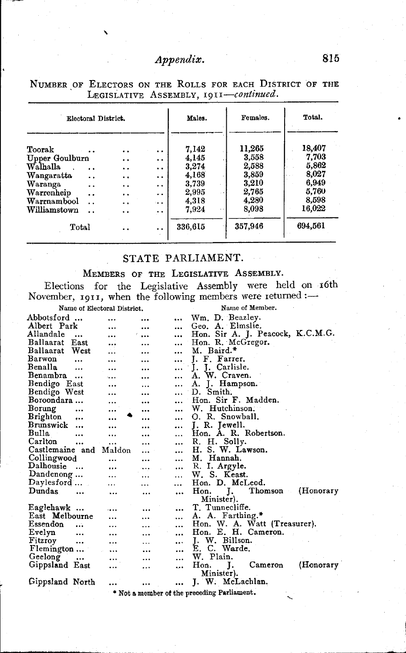# *Appendix.* 815

| Electoral District.                |                      |                      | Males.  | Females. | Total.  |  |
|------------------------------------|----------------------|----------------------|---------|----------|---------|--|
| Toorak                             | . .                  | $\cdot$ .            | 7.142   | 11.265   | 18.407  |  |
| Upper Goulburn                     | $\ddot{\phantom{1}}$ | $\ddot{\phantom{a}}$ | 4.145   | 3.558    | 7,703   |  |
| Walhalla<br>$\ddot{\phantom{a}}$   | . .                  | $\ddot{\phantom{0}}$ | 3.274   | 2.588    | 5,862   |  |
| Wangaratta<br>$\ddot{\phantom{a}}$ | $\ddot{\phantom{0}}$ | $\ddot{\phantom{a}}$ | 4,168   | 3,859    | 8.027   |  |
| Waranga<br>$\ddot{\phantom{0}}$    | . .                  | $\ddot{\phantom{0}}$ | 3.739   | 3,210    | 6,949   |  |
| Warrenheip<br>. .                  | $\ddot{\phantom{1}}$ | $\ddot{\phantom{0}}$ | 2,995   | 2,765    | 5,760   |  |
| Warrnambool                        | $\ddot{\phantom{0}}$ | $\sim$               | 4.318   | 4,280    | 8,598   |  |
| $\operatorname{Williamstown}$      | . .                  | $\cdot$ .            | 7,924   | 8.098    | 16,022  |  |
| Total                              | . .                  | . .                  | 336,615 | 357.946  | 694.561 |  |

NUMBER OF ELECTORS ON THE ROLLS FOR EACH DISTRICT OF THE LEGISLATIVE ASSEMBLY, 1911—*continued.* 

## STATE PARLIAMENT.

### MEMBERS OF THE LEGISLATIVE ASSEMBLY.

Elections for the Legislative Assembly were held on 16th November, 1911, when the following members were returned :-

Name of Electoral District.

 $\mathbf{r}$ 

#### Name of Member.

|                 |                   | righte of Etterhorer Displifer |           |           | THRITING OF THE CHANGES                            |
|-----------------|-------------------|--------------------------------|-----------|-----------|----------------------------------------------------|
| Abbotsford      |                   |                                |           | $\cdots$  | Wm. D. Beazley.                                    |
| Albert Park     |                   |                                |           | $\ddotsc$ | Geo. A. Elmslie.                                   |
| Allandale       | $\ddotsc$         |                                |           | $\cdots$  | Hon. Sir A. J. Peacock, K.C.M.G.                   |
| Ballaarat       | East              | .                              |           |           | Hon. R. McGregor.                                  |
| Ballaarat       | West              |                                |           |           | M. Baird.*                                         |
| Barwon          | $\ddotsc$         |                                | $\ddotsc$ | $\cdots$  | J. F. Farrer.                                      |
| Benalla         | $\ddotsc$         | $\ddotsc$                      | $\cdots$  | $\cdots$  | J. Carlisle.<br>Ι.                                 |
| Benambra        |                   | $\sim$ $\sim$                  |           |           | A. W. Craven.                                      |
| Bendigo East    |                   |                                | $\ddotsc$ |           | J. Hampson.<br>А.                                  |
| Bendigo West    |                   |                                |           |           | D. Smith.                                          |
| Boroondara      |                   |                                |           |           | Hon. Sir F. Madden.                                |
| Borung          | $\cdots$          |                                | $\ddotsc$ |           | W. Hutchinson.                                     |
| Brighton        |                   |                                |           |           | O. R. Snowball.                                    |
| Brunswick       | $\ddotsc$         | $\ddotsc$                      |           |           | J. R. Jewell.                                      |
| Bulla           | $\cdots$          |                                | .         |           | Hon. A. R. Robertson.                              |
| Carlton         | $\cdots$          |                                |           |           | R. H. Solly.                                       |
| Castlemaine and |                   | Maldon                         | .         |           | H. S. W. Lawson.                                   |
| Collingwood     |                   |                                |           |           | M. Hannah.                                         |
| Dalhousie       | $\ddotsc$         |                                | $\ddotsc$ |           | R. I. Argyle.                                      |
| Dandenong       |                   | $\ddotsc$                      |           | $\cdots$  | W. S. Keast.                                       |
| Daylesford      |                   | .                              |           |           | Hon. D. McLeod.                                    |
| Dundas          | $\ddotsc$         | $\ddotsc$                      |           | $\ddotsc$ | Thomson<br>Hon.<br>(Honorary)<br>л.                |
|                 |                   |                                |           |           | Minister).                                         |
| Eaglehawk       |                   |                                | $\cdots$  |           | T. Tunnecliffe.                                    |
| East Melbourne  |                   |                                |           |           | A. A. Farthing.*                                   |
| Essendon        | $\ddotsc$         |                                |           |           | Hon. W. A. Watt (Treasurer).                       |
| Evelyn          |                   |                                |           | $\cdots$  | Hon. E. H. Cameron.                                |
| Fitzroy         | $\cdots$          | $\ddotsc$                      | $\cdots$  | $\cdots$  | J. W. Billson.                                     |
| Flemington      |                   | $\ddotsc$                      | $\cdots$  |           | E. C. Warde.                                       |
| Geelong         | $\sim$ 1000 $\pm$ | $\cdots$                       | $\cdots$  | .         | W. Plain.                                          |
| Gippsland East  |                   |                                |           | $\ddotsc$ | (Honorary<br>Cameron<br>I.<br>Hon.                 |
|                 |                   |                                |           |           | Minister).                                         |
| Gippsland North |                   |                                |           |           | J. W. McLachlan.                                   |
|                 |                   |                                |           |           | <b>* Net a monthon of the proceding Perliament</b> |

 $\,$  t a member of the preceding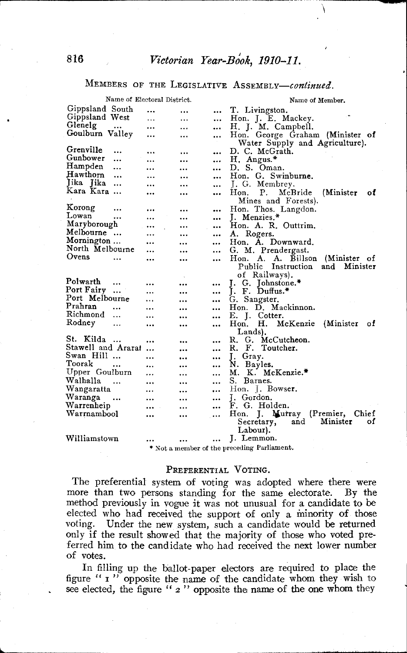$\setminus$ 

## MEMBERS OF THE LEGISLATIVE ASSEMBLY-continued.

|                    |           | Name of Electoral District. |           |           | Name of Member.                             |
|--------------------|-----------|-----------------------------|-----------|-----------|---------------------------------------------|
| Gippsland South    |           |                             |           |           | T. Livingston.                              |
| Gippsland West     |           |                             |           | $\cdots$  | Hon. J. E. Mackey.                          |
| Glenelg            | $\cdots$  |                             |           |           | H. J. M. Campbell.                          |
| Goulburn Valley    |           | $\cdots$                    |           |           | Hon. George Graham (Minister of             |
|                    |           |                             |           |           | Water Supply and Agriculture).              |
| Grenville          |           |                             |           |           | D. C. McGrath.                              |
| Gunbower           | $\ddotsc$ |                             |           |           | H. Angus.*                                  |
| Hampden            | $\cdots$  |                             | $\ddotsc$ |           | D. S. Oman.                                 |
| Hawthorn           |           |                             |           |           | Hon. G. Swinburne.                          |
| Jika Jika          |           |                             |           |           |                                             |
| Kara Kara          |           |                             |           |           | J. G. Membrey.                              |
|                    |           |                             |           | $\cdots$  | Hon.<br>(Minister<br>Р.<br>McBride<br>οf    |
| Korong             |           |                             |           |           | Mines and Forests).                         |
| Lowan              | $\ddotsc$ |                             |           |           | Hon. Thos. Langdon.                         |
|                    |           | $\cdots$                    | $\ddotsc$ |           | J. Menzies.*                                |
| Maryborough        |           |                             |           | $\cdots$  | Hon. A. R. Outtrim.                         |
| Melbourne          |           | $\ddotsc$                   |           | $\cdots$  | A. Rogers.                                  |
| Mornington         |           |                             |           | $\cdots$  | Hon. A. Downward.                           |
| North Melbourne    |           | $\cdots$                    | $\ddotsc$ | $\ddotsc$ | G. M. Prendergast.                          |
| Ovens              | .         |                             |           |           | (Minister of<br>Hon.<br>A. Billson<br>A.    |
|                    |           |                             |           |           | Public Instruction<br>and<br>Minister       |
|                    |           |                             |           |           | of Railways).                               |
| Polwarth           |           |                             |           |           | J. G. Johnstone.*                           |
| Port Fairy         | $\cdots$  |                             |           | $\cdots$  | J. F. Duffus.*                              |
| Port Melbourne     |           | .                           |           |           | G. Sangster.                                |
| Prahran            |           |                             |           | $\ddotsc$ | Hon. D. Mackinnon.                          |
| Richmond           | $\ddotsc$ |                             |           |           | E. J. Cotter.                               |
| Rodney             |           |                             |           | $\cdots$  | (Minister)<br>н.<br>McKenzie<br>Hon.<br>οf  |
|                    |           |                             |           |           | Lands).                                     |
| St. Kilda          | $\ddotsc$ |                             |           | $\ddotsc$ | R. G. McCutcheon.                           |
| Stawell and Ararat |           |                             |           |           | F.<br>Toutcher.<br>R.                       |
| Swan Hill          |           |                             |           | $\cdots$  | J. Gray.                                    |
| Toorak             |           |                             |           | $\cdots$  | N. Bayles.                                  |
| Upper Goulburn     |           |                             | $\ddotsc$ |           | M. K. McKenzie.*                            |
| Walhalla           | $\cdots$  |                             | $\ddotsc$ |           | S. Barnes.                                  |
| Wangaratta         |           |                             |           | $\ddotsc$ | Hon. J. Bowser.                             |
| Waranga            | $\ddotsc$ |                             |           |           | J. Gordon.                                  |
| Warrenheip         |           | $\cdots$                    |           |           | F. G. Holden.                               |
| Warrnambool        |           |                             | $\ddotsc$ |           | (Premier,<br>Hon. J. Murray<br>Chief        |
|                    |           |                             |           |           | Minister<br>Secretary,<br>and<br>οſ         |
|                    |           |                             |           |           | Labour).                                    |
| Williamstown       |           |                             |           |           | J. Lemmon.                                  |
|                    |           |                             |           |           |                                             |
|                    |           |                             |           |           | * Not a member of the preceding Parliament. |

### PREFERENTIAL VOTING.

The preferential system of voting was adopted where there were more than two persons standing for the same electorate. By the method previously in vogue it was not unusual for a candidate to be elected who had received the support of only a minority of those voting. Under the new system, such a candidate would be returned only if the result showed that the majority of those who voted preferred him to the candidate who had received the next lower number of votes.

In filling up the ballot-paper electors are required to place the figure " I " opposite the name of the candidate whom they wish to see elected, the figure "  $2$ " opposite the name of the one whom they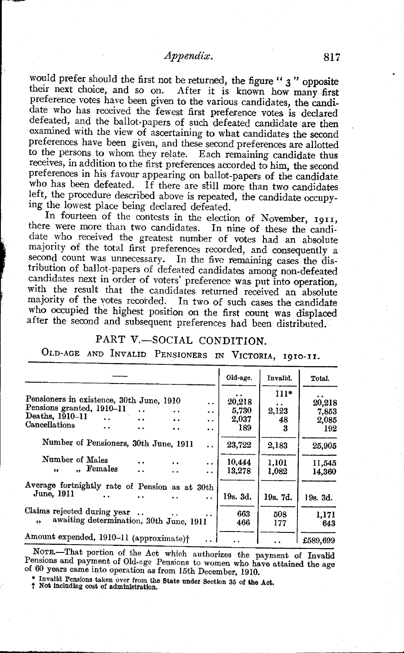would prefer should the first not be returned, the figure " $3$ " opposite their next choice, and so on. After it is known how many first preference votes have been given to the various candidates, the candidate who has received the fewest first preference votes is declared defeated, and the ballot-papers of such defeated candidate are then examined with the view of ascertaining to what candidates the second preferences have been given, and these second preferences are allotted to the persons to whom they relate. Each remaining candidate thus receives, in addition to the first preferences accorded to him, the second preferences in his favour appearing on ballot-papers of the candidate who has been defeated. If there are still more than two candidates left, the procedure described above is repeated, the candidate occupying the lowest place being declared defeated.

In fourteen of the contests in the election of November, 1911, there were more than two candidates. In nine of these the candidate who received the greatest number of votes had an absolute majority of the total first preferences recorded, and consequently a second count was unnecessary. In the five remaining cases the distribution of ballot-papers of defeated candidates among non-defeated candidates next in order of voters' preference was put into operation, with the result that the candidates returned received an absolute majority of the votes recorded. In two of such cases the candidate who occupied the highest position on the first count was displaced after the second and subsequent preferences had been distributed.

## PART V.-SOCIAL CONDITION.

# OLD-AGE AND INVALID PENSIONERS IN VICTORIA, I9IO-II.

|                                                                                                                                                                                                                                                                                | Old-age.                        | Invalid.                   | Total.                          |
|--------------------------------------------------------------------------------------------------------------------------------------------------------------------------------------------------------------------------------------------------------------------------------|---------------------------------|----------------------------|---------------------------------|
| Pensioners in existence, 30th June, 1910<br>. .<br>Pensions granted, 1910-11<br>$\ddot{\phantom{a}}$<br>$\ddot{\phantom{0}}$<br>Deaths, 1910-11<br>$\ddot{\phantom{a}}$<br>$\ddot{\phantom{0}}$<br>$\ddot{\phantom{1}}$<br>Cancellations<br>$\ddot{\phantom{a}}$<br>. .<br>. . | 20,218<br>5,730<br>2,037<br>189 | $111*$<br>2,123<br>48<br>3 | 20,218<br>7,853<br>2,085<br>192 |
| $\ddot{\phantom{1}}$<br>Number of Pensioners, 30th June, 1911<br>. .<br>Number of Males<br>$\ddot{\phantom{a}}$                                                                                                                                                                | 23,722<br>10,444                | 2,183<br>1,101             | 25,905<br>11.545                |
| Females<br>55<br>$\ddot{\phantom{a}}$<br>$\ddot{\phantom{1}}$                                                                                                                                                                                                                  | 13,278                          | 1,082                      | 14.360                          |
| Average fortnightly rate of Pension as at 30th<br>June, 1911<br>$\ddot{\phantom{a}}$                                                                                                                                                                                           | 19s. 3d.                        | 19s. 7d.                   | 19s. 3d.                        |
| Claims rejected during year.<br>awaiting determination, 30th June, 1911<br>$\cdot$                                                                                                                                                                                             | 663<br>466                      | 508<br>177                 | 1,171<br>643                    |
| Amount expended, 1910-11 (approximate)†                                                                                                                                                                                                                                        |                                 |                            | £589,699                        |

NOTE.-That portion of the Act which authorizes the payment of Invalid  $P$ ensions and payment of Old-age Pensions to women who have attained the age of 60 years came into operation as from 15th December, 1910.

Invalid Pensions taken over from the State under Section 35 of the Act.<br>Not including cost of administration.